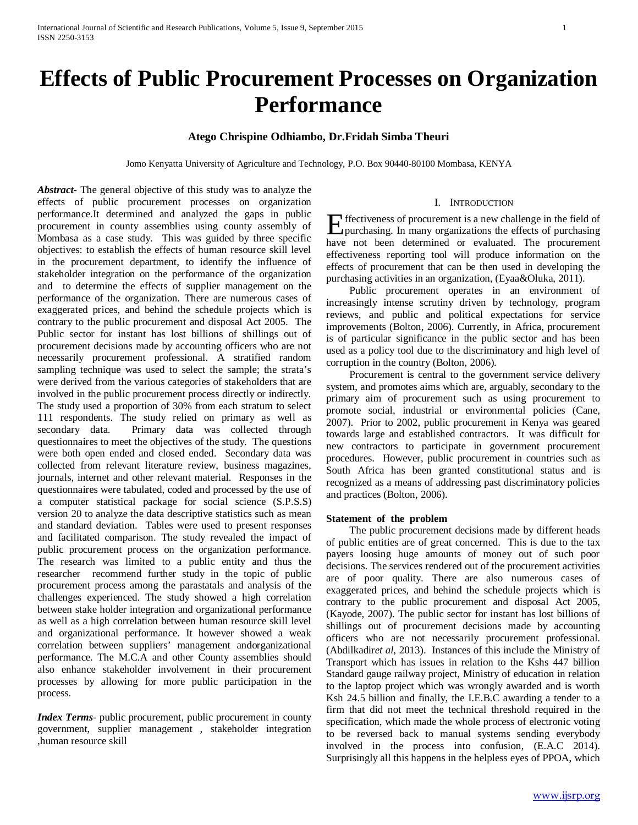# **Effects of Public Procurement Processes on Organization Performance**

# **Atego Chrispine Odhiambo, Dr.Fridah Simba Theuri**

Jomo Kenyatta University of Agriculture and Technology, P.O. Box 90440-80100 Mombasa, KENYA

*Abstract***-** The general objective of this study was to analyze the effects of public procurement processes on organization performance.It determined and analyzed the gaps in public procurement in county assemblies using county assembly of Mombasa as a case study. This was guided by three specific objectives: to establish the effects of human resource skill level in the procurement department, to identify the influence of stakeholder integration on the performance of the organization and to determine the effects of supplier management on the performance of the organization. There are numerous cases of exaggerated prices, and behind the schedule projects which is contrary to the public procurement and disposal Act 2005. The Public sector for instant has lost billions of shillings out of procurement decisions made by accounting officers who are not necessarily procurement professional. A stratified random sampling technique was used to select the sample; the strata's were derived from the various categories of stakeholders that are involved in the public procurement process directly or indirectly. The study used a proportion of 30% from each stratum to select 111 respondents. The study relied on primary as well as secondary data. Primary data was collected through questionnaires to meet the objectives of the study. The questions were both open ended and closed ended. Secondary data was collected from relevant literature review, business magazines, journals, internet and other relevant material. Responses in the questionnaires were tabulated, coded and processed by the use of a computer statistical package for social science (S.P.S.S) version 20 to analyze the data descriptive statistics such as mean and standard deviation. Tables were used to present responses and facilitated comparison. The study revealed the impact of public procurement process on the organization performance. The research was limited to a public entity and thus the researcher recommend further study in the topic of public procurement process among the parastatals and analysis of the challenges experienced. The study showed a high correlation between stake holder integration and organizational performance as well as a high correlation between human resource skill level and organizational performance. It however showed a weak correlation between suppliers' management andorganizational performance. The M.C.A and other County assemblies should also enhance stakeholder involvement in their procurement processes by allowing for more public participation in the process.

*Index Terms*- public procurement, public procurement in county government, supplier management , stakeholder integration ,human resource skill

#### I. INTRODUCTION

Effectiveness of procurement is a new challenge in the field of purchasing. In many organizations the effects of purchasing purchasing. In many organizations the effects of purchasing have not been determined or evaluated. The procurement effectiveness reporting tool will produce information on the effects of procurement that can be then used in developing the purchasing activities in an organization, (Eyaa&Oluka, 2011).

 Public procurement operates in an environment of increasingly intense scrutiny driven by technology, program reviews, and public and political expectations for service improvements (Bolton, 2006). Currently, in Africa, procurement is of particular significance in the public sector and has been used as a policy tool due to the discriminatory and high level of corruption in the country (Bolton, 2006).

 Procurement is central to the government service delivery system, and promotes aims which are, arguably, secondary to the primary aim of procurement such as using procurement to promote social, industrial or environmental policies (Cane, 2007). Prior to 2002, public procurement in Kenya was geared towards large and established contractors. It was difficult for new contractors to participate in government procurement procedures. However, public procurement in countries such as South Africa has been granted constitutional status and is recognized as a means of addressing past discriminatory policies and practices (Bolton, 2006).

#### **Statement of the problem**

 The public procurement decisions made by different heads of public entities are of great concerned. This is due to the tax payers loosing huge amounts of money out of such poor decisions. The services rendered out of the procurement activities are of poor quality. There are also numerous cases of exaggerated prices, and behind the schedule projects which is contrary to the public procurement and disposal Act 2005, (Kayode, 2007). The public sector for instant has lost billions of shillings out of procurement decisions made by accounting officers who are not necessarily procurement professional. (Abdilkadir*et al*, 2013). Instances of this include the Ministry of Transport which has issues in relation to the Kshs 447 billion Standard gauge railway project, Ministry of education in relation to the laptop project which was wrongly awarded and is worth Ksh 24.5 billion and finally, the I.E.B.C awarding a tender to a firm that did not meet the technical threshold required in the specification, which made the whole process of electronic voting to be reversed back to manual systems sending everybody involved in the process into confusion, (E.A.C 2014). Surprisingly all this happens in the helpless eyes of PPOA, which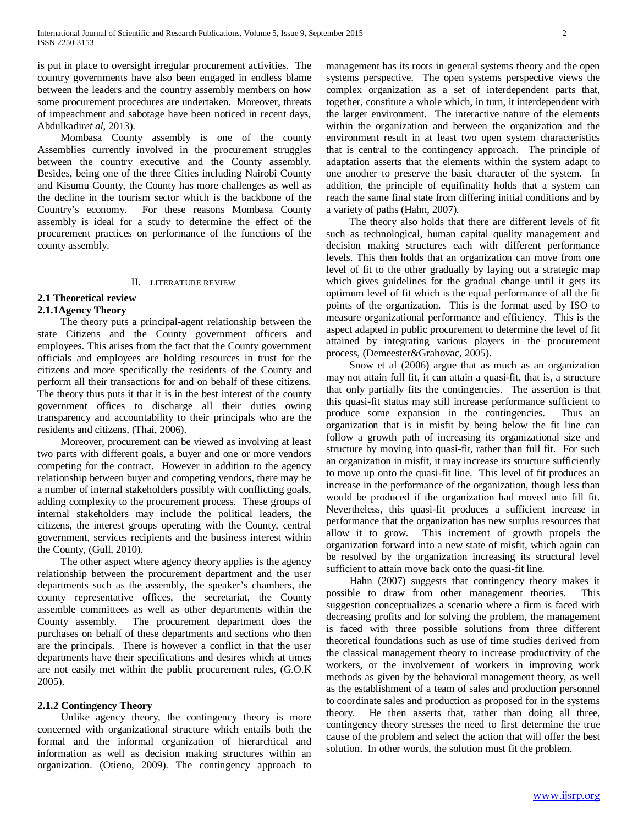is put in place to oversight irregular procurement activities. The country governments have also been engaged in endless blame between the leaders and the country assembly members on how some procurement procedures are undertaken. Moreover, threats of impeachment and sabotage have been noticed in recent days, Abdulkadir*et al*, 2013).

 Mombasa County assembly is one of the county Assemblies currently involved in the procurement struggles between the country executive and the County assembly. Besides, being one of the three Cities including Nairobi County and Kisumu County, the County has more challenges as well as the decline in the tourism sector which is the backbone of the Country's economy. For these reasons Mombasa County assembly is ideal for a study to determine the effect of the procurement practices on performance of the functions of the county assembly.

#### II. LITERATURE REVIEW

# **2.1 Theoretical review**

# **2.1.1Agency Theory**

 The theory puts a principal-agent relationship between the state Citizens and the County government officers and employees. This arises from the fact that the County government officials and employees are holding resources in trust for the citizens and more specifically the residents of the County and perform all their transactions for and on behalf of these citizens. The theory thus puts it that it is in the best interest of the county government offices to discharge all their duties owing transparency and accountability to their principals who are the residents and citizens, (Thai, 2006).

 Moreover, procurement can be viewed as involving at least two parts with different goals, a buyer and one or more vendors competing for the contract. However in addition to the agency relationship between buyer and competing vendors, there may be a number of internal stakeholders possibly with conflicting goals, adding complexity to the procurement process. These groups of internal stakeholders may include the political leaders, the citizens, the interest groups operating with the County, central government, services recipients and the business interest within the County, (Gull, 2010).

 The other aspect where agency theory applies is the agency relationship between the procurement department and the user departments such as the assembly, the speaker's chambers, the county representative offices, the secretariat, the County assemble committees as well as other departments within the County assembly. The procurement department does the purchases on behalf of these departments and sections who then are the principals. There is however a conflict in that the user departments have their specifications and desires which at times are not easily met within the public procurement rules, (G.O.K 2005).

# **2.1.2 Contingency Theory**

 Unlike agency theory, the contingency theory is more concerned with organizational structure which entails both the formal and the informal organization of hierarchical and information as well as decision making structures within an organization. (Otieno, 2009). The contingency approach to management has its roots in general systems theory and the open systems perspective. The open systems perspective views the complex organization as a set of interdependent parts that, together, constitute a whole which, in turn, it interdependent with the larger environment. The interactive nature of the elements within the organization and between the organization and the environment result in at least two open system characteristics that is central to the contingency approach. The principle of adaptation asserts that the elements within the system adapt to one another to preserve the basic character of the system. In addition, the principle of equifinality holds that a system can reach the same final state from differing initial conditions and by a variety of paths (Hahn, 2007).

 The theory also holds that there are different levels of fit such as technological, human capital quality management and decision making structures each with different performance levels. This then holds that an organization can move from one level of fit to the other gradually by laying out a strategic map which gives guidelines for the gradual change until it gets its optimum level of fit which is the equal performance of all the fit points of the organization. This is the format used by ISO to measure organizational performance and efficiency. This is the aspect adapted in public procurement to determine the level of fit attained by integrating various players in the procurement process, (Demeester&Grahovac, 2005).

 Snow et al (2006) argue that as much as an organization may not attain full fit, it can attain a quasi-fit, that is, a structure that only partially fits the contingencies. The assertion is that this quasi-fit status may still increase performance sufficient to produce some expansion in the contingencies. Thus an organization that is in misfit by being below the fit line can follow a growth path of increasing its organizational size and structure by moving into quasi-fit, rather than full fit. For such an organization in misfit, it may increase its structure sufficiently to move up onto the quasi-fit line. This level of fit produces an increase in the performance of the organization, though less than would be produced if the organization had moved into fill fit. Nevertheless, this quasi-fit produces a sufficient increase in performance that the organization has new surplus resources that allow it to grow. This increment of growth propels the organization forward into a new state of misfit, which again can be resolved by the organization increasing its structural level sufficient to attain move back onto the quasi-fit line.

 Hahn (2007) suggests that contingency theory makes it possible to draw from other management theories. This suggestion conceptualizes a scenario where a firm is faced with decreasing profits and for solving the problem, the management is faced with three possible solutions from three different theoretical foundations such as use of time studies derived from the classical management theory to increase productivity of the workers, or the involvement of workers in improving work methods as given by the behavioral management theory, as well as the establishment of a team of sales and production personnel to coordinate sales and production as proposed for in the systems theory. He then asserts that, rather than doing all three, contingency theory stresses the need to first determine the true cause of the problem and select the action that will offer the best solution. In other words, the solution must fit the problem.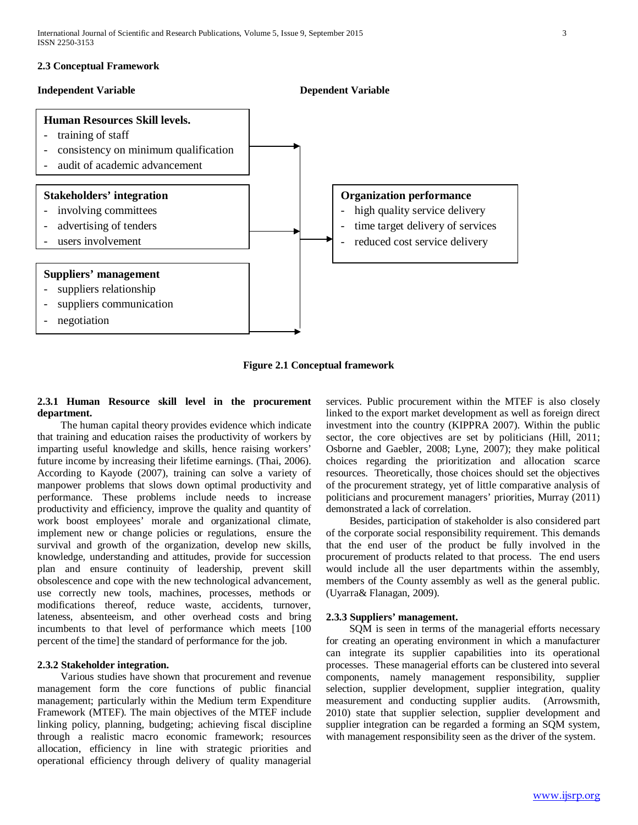# **2.3 Conceptual Framework**

### **Independent Variable Dependent Variable**



**Figure 2.1 Conceptual framework**

# **2.3.1 Human Resource skill level in the procurement department.**

 The human capital theory provides evidence which indicate that training and education raises the productivity of workers by imparting useful knowledge and skills, hence raising workers' future income by increasing their lifetime earnings. (Thai, 2006). According to Kayode (2007), training can solve a variety of manpower problems that slows down optimal productivity and performance. These problems include needs to increase productivity and efficiency, improve the quality and quantity of work boost employees' morale and organizational climate, implement new or change policies or regulations, ensure the survival and growth of the organization, develop new skills, knowledge, understanding and attitudes, provide for succession plan and ensure continuity of leadership, prevent skill obsolescence and cope with the new technological advancement, use correctly new tools, machines, processes, methods or modifications thereof, reduce waste, accidents, turnover, lateness, absenteeism, and other overhead costs and bring incumbents to that level of performance which meets [100 percent of the time] the standard of performance for the job.

# **2.3.2 Stakeholder integration.**

 Various studies have shown that procurement and revenue management form the core functions of public financial management; particularly within the Medium term Expenditure Framework (MTEF). The main objectives of the MTEF include linking policy, planning, budgeting; achieving fiscal discipline through a realistic macro economic framework; resources allocation, efficiency in line with strategic priorities and operational efficiency through delivery of quality managerial services. Public procurement within the MTEF is also closely linked to the export market development as well as foreign direct investment into the country (KIPPRA 2007). Within the public sector, the core objectives are set by politicians (Hill, 2011; Osborne and Gaebler, 2008; Lyne, 2007); they make political choices regarding the prioritization and allocation scarce resources. Theoretically, those choices should set the objectives of the procurement strategy, yet of little comparative analysis of politicians and procurement managers' priorities, Murray (2011) demonstrated a lack of correlation.

 Besides, participation of stakeholder is also considered part of the corporate social responsibility requirement. This demands that the end user of the product be fully involved in the procurement of products related to that process. The end users would include all the user departments within the assembly, members of the County assembly as well as the general public. (Uyarra& Flanagan, 2009).

# **2.3.3 Suppliers' management.**

 SQM is seen in terms of the managerial efforts necessary for creating an operating environment in which a manufacturer can integrate its supplier capabilities into its operational processes. These managerial efforts can be clustered into several components, namely management responsibility, supplier selection, supplier development, supplier integration, quality measurement and conducting supplier audits. (Arrowsmith, 2010) state that supplier selection, supplier development and supplier integration can be regarded a forming an SQM system, with management responsibility seen as the driver of the system.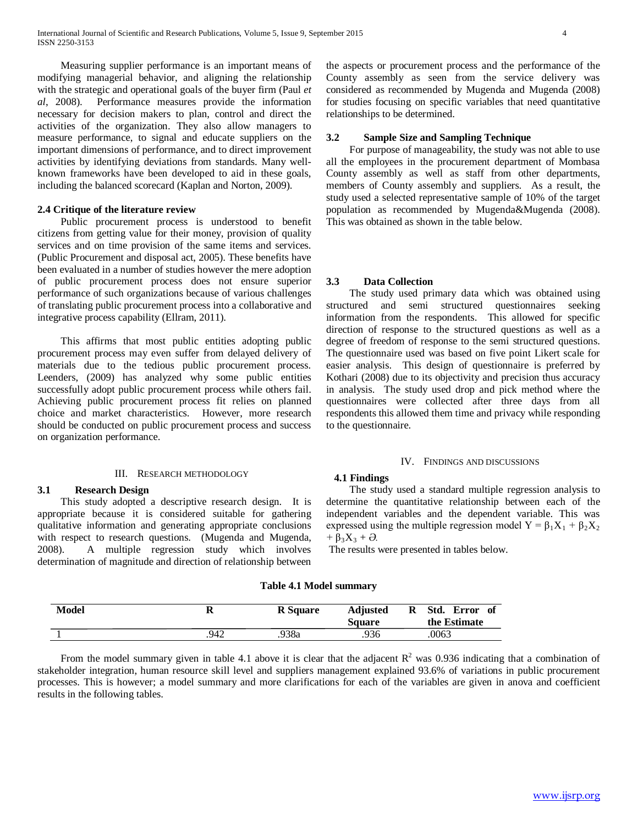Measuring supplier performance is an important means of modifying managerial behavior, and aligning the relationship with the strategic and operational goals of the buyer firm (Paul *et al*, 2008). Performance measures provide the information necessary for decision makers to plan, control and direct the activities of the organization. They also allow managers to measure performance, to signal and educate suppliers on the important dimensions of performance, and to direct improvement activities by identifying deviations from standards. Many wellknown frameworks have been developed to aid in these goals, including the balanced scorecard (Kaplan and Norton, 2009).

## **2.4 Critique of the literature review**

 Public procurement process is understood to benefit citizens from getting value for their money, provision of quality services and on time provision of the same items and services. (Public Procurement and disposal act, 2005). These benefits have been evaluated in a number of studies however the mere adoption of public procurement process does not ensure superior performance of such organizations because of various challenges of translating public procurement process into a collaborative and integrative process capability (Ellram, 2011).

 This affirms that most public entities adopting public procurement process may even suffer from delayed delivery of materials due to the tedious public procurement process. Leenders, (2009) has analyzed why some public entities successfully adopt public procurement process while others fail. Achieving public procurement process fit relies on planned choice and market characteristics. However, more research should be conducted on public procurement process and success on organization performance.

#### III. RESEARCH METHODOLOGY

# **3.1 Research Design**

 This study adopted a descriptive research design. It is appropriate because it is considered suitable for gathering qualitative information and generating appropriate conclusions with respect to research questions. (Mugenda and Mugenda, 2008). A multiple regression study which involves determination of magnitude and direction of relationship between the aspects or procurement process and the performance of the County assembly as seen from the service delivery was considered as recommended by Mugenda and Mugenda (2008) for studies focusing on specific variables that need quantitative relationships to be determined.

# **3.2 Sample Size and Sampling Technique**

 For purpose of manageability, the study was not able to use all the employees in the procurement department of Mombasa County assembly as well as staff from other departments, members of County assembly and suppliers. As a result, the study used a selected representative sample of 10% of the target population as recommended by Mugenda&Mugenda (2008). This was obtained as shown in the table below.

## **3.3 Data Collection**

 The study used primary data which was obtained using structured and semi structured questionnaires seeking information from the respondents. This allowed for specific direction of response to the structured questions as well as a degree of freedom of response to the semi structured questions. The questionnaire used was based on five point Likert scale for easier analysis. This design of questionnaire is preferred by Kothari (2008) due to its objectivity and precision thus accuracy in analysis. The study used drop and pick method where the questionnaires were collected after three days from all respondents this allowed them time and privacy while responding to the questionnaire.

#### IV. FINDINGS AND DISCUSSIONS

#### **4.1 Findings**

 The study used a standard multiple regression analysis to determine the quantitative relationship between each of the independent variables and the dependent variable. This was expressed using the multiple regression model  $Y = \beta_1 X_1 + \beta_2 X_2$  $+ \beta_3 X_3 + \partial$ .

The results were presented in tables below.

#### **Table 4.1 Model summary**

| <b>Model</b> | n    | <b>R</b> Square | <b>Adjusted</b><br><b>Square</b> | Std.<br>Error<br>R<br>- of<br>the Estimate |
|--------------|------|-----------------|----------------------------------|--------------------------------------------|
|              | 942. | .938a           | .936                             | .0063                                      |

From the model summary given in table 4.1 above it is clear that the adjacent  $R^2$  was 0.936 indicating that a combination of stakeholder integration, human resource skill level and suppliers management explained 93.6% of variations in public procurement processes. This is however; a model summary and more clarifications for each of the variables are given in anova and coefficient results in the following tables.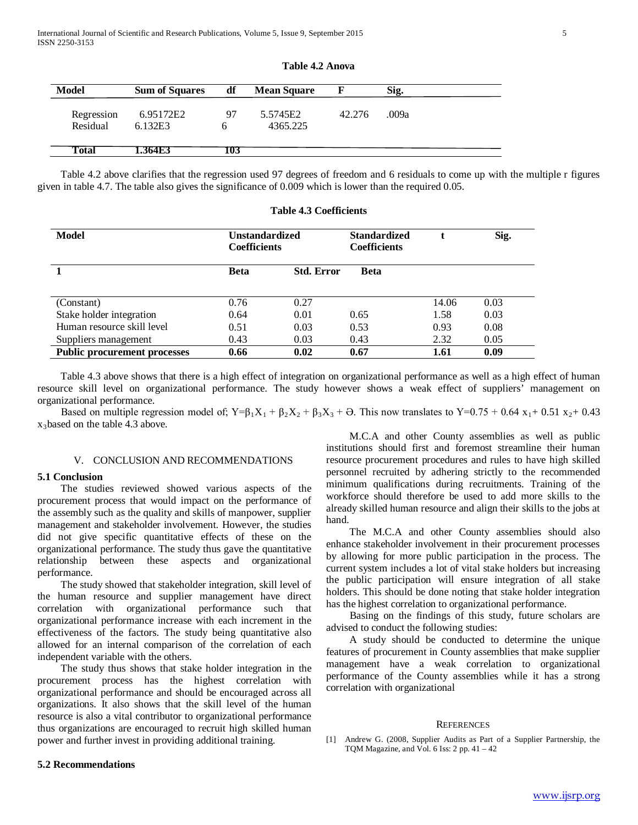| <b>Model</b>           | <b>Sum of Squares</b> | df  | <b>Mean Square</b>   | - F    | Sig.  |
|------------------------|-----------------------|-----|----------------------|--------|-------|
| Regression<br>Residual | 6.95172E2<br>6.132E3  | 97  | 5.5745E2<br>4365.225 | 42.276 | .009a |
| Total                  | 1.364E3               | 103 |                      |        |       |

| Table 4.2 Anova |  |
|-----------------|--|
|-----------------|--|

Table 4.2 above clarifies that the regression used 97 degrees of freedom and 6 residuals to come up with the multiple r figures

| Model                               | Unstandardized<br><b>Coefficients</b> |                   | <b>Standardized</b><br><b>Coefficients</b> |       | Sig. |
|-------------------------------------|---------------------------------------|-------------------|--------------------------------------------|-------|------|
|                                     | Beta                                  | <b>Std. Error</b> | <b>Beta</b>                                |       |      |
|                                     |                                       |                   |                                            |       |      |
| (Constant)                          | 0.76                                  | 0.27              |                                            | 14.06 | 0.03 |
| Stake holder integration            | 0.64                                  | 0.01              | 0.65                                       | 1.58  | 0.03 |
| Human resource skill level          | 0.51                                  | 0.03              | 0.53                                       | 0.93  | 0.08 |
| Suppliers management                | 0.43                                  | 0.03              | 0.43                                       | 2.32  | 0.05 |
| <b>Public procurement processes</b> | 0.66                                  | 0.02              | 0.67                                       | 1.61  | 0.09 |

given in table 4.7. The table also gives the significance of 0.009 which is lower than the required 0.05.

**Table 4.3 Coefficients**

 Table 4.3 above shows that there is a high effect of integration on organizational performance as well as a high effect of human resource skill level on organizational performance. The study however shows a weak effect of suppliers' management on organizational performance.

Based on multiple regression model of;  $Y=\beta_1X_1 + \beta_2X_2 + \beta_3X_3 + \Theta$ . This now translates to  $Y=0.75 + 0.64 x_1 + 0.51 x_2 + 0.43$  $x_3$ based on the table 4.3 above.

# V. CONCLUSION AND RECOMMENDATIONS

#### **5.1 Conclusion**

 The studies reviewed showed various aspects of the procurement process that would impact on the performance of the assembly such as the quality and skills of manpower, supplier management and stakeholder involvement. However, the studies did not give specific quantitative effects of these on the organizational performance. The study thus gave the quantitative relationship between these aspects and organizational performance.

 The study showed that stakeholder integration, skill level of the human resource and supplier management have direct correlation with organizational performance such that organizational performance increase with each increment in the effectiveness of the factors. The study being quantitative also allowed for an internal comparison of the correlation of each independent variable with the others.

 The study thus shows that stake holder integration in the procurement process has the highest correlation with organizational performance and should be encouraged across all organizations. It also shows that the skill level of the human resource is also a vital contributor to organizational performance thus organizations are encouraged to recruit high skilled human power and further invest in providing additional training.

 M.C.A and other County assemblies as well as public institutions should first and foremost streamline their human resource procurement procedures and rules to have high skilled personnel recruited by adhering strictly to the recommended minimum qualifications during recruitments. Training of the workforce should therefore be used to add more skills to the already skilled human resource and align their skills to the jobs at hand.

 The M.C.A and other County assemblies should also enhance stakeholder involvement in their procurement processes by allowing for more public participation in the process. The current system includes a lot of vital stake holders but increasing the public participation will ensure integration of all stake holders. This should be done noting that stake holder integration has the highest correlation to organizational performance.

 Basing on the findings of this study, future scholars are advised to conduct the following studies:

 A study should be conducted to determine the unique features of procurement in County assemblies that make supplier management have a weak correlation to organizational performance of the County assemblies while it has a strong correlation with organizational

#### REFERENCES

[1] Andrew G. (2008, Supplier Audits as Part of a Supplier Partnership, the TQM Magazine, and Vol. 6 Iss: 2 pp. 41 – 42